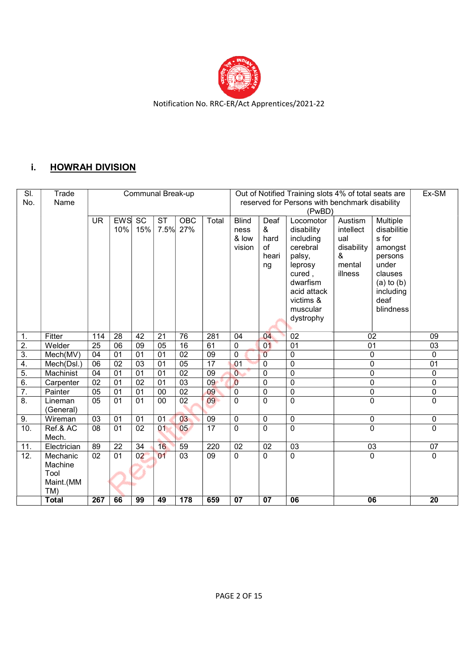

### i. HOWRAH DIVISION

| SI.<br>No. | Trade<br>Name        | <b>Communal Break-up</b> |                 |                        |                        |                        |                 | Out of Notified Training slots 4% of total seats are<br>reserved for Persons with benchmark disability |                                        |                                                                                                                                                            |                                                                     |                                                                                                                                |                 |  |  |
|------------|----------------------|--------------------------|-----------------|------------------------|------------------------|------------------------|-----------------|--------------------------------------------------------------------------------------------------------|----------------------------------------|------------------------------------------------------------------------------------------------------------------------------------------------------------|---------------------------------------------------------------------|--------------------------------------------------------------------------------------------------------------------------------|-----------------|--|--|
|            |                      | <b>UR</b>                | EWS<br>10%      | $\overline{SC}$<br>15% | $\overline{\text{ST}}$ | <b>OBC</b><br>7.5% 27% | Total           | <b>Blind</b><br>ness<br>& low<br>vision                                                                | Deaf<br>&<br>hard<br>of<br>heari<br>ng | (PwBD)<br>Locomotor<br>disability<br>including<br>cerebral<br>palsy,<br>leprosy<br>cured,<br>dwarfism<br>acid attack<br>victims &<br>muscular<br>dystrophy | Austism<br>intellect<br>ual<br>disability<br>&<br>mental<br>illness | Multiple<br>disabilitie<br>s for<br>amongst<br>persons<br>under<br>clauses<br>$(a)$ to $(b)$<br>including<br>deaf<br>blindness |                 |  |  |
| 1.         | Fitter               | 114                      | $\overline{28}$ | $\overline{42}$        | $\overline{21}$        | 76                     | 281             | 04                                                                                                     | 04                                     | $\overline{02}$                                                                                                                                            |                                                                     | 02                                                                                                                             | $\overline{09}$ |  |  |
| 2.         | Welder               | 25                       | 06              | 09                     | 05                     | 16                     | 61              | $\mathbf 0$                                                                                            | 01                                     | 01                                                                                                                                                         |                                                                     | 01                                                                                                                             | 03              |  |  |
| 3.         | Mech(MV)             | 04                       | $\overline{01}$ | 01                     | 01                     | $\overline{02}$        | $\overline{09}$ | $\mathbf 0$                                                                                            | $\overline{0}$                         | $\mathbf 0$                                                                                                                                                |                                                                     | $\mathbf 0$                                                                                                                    | $\mathbf 0$     |  |  |
| 4.         | Mech(Dsl.)           | 06                       | 02              | 03                     | 01                     | 05                     | $\overline{17}$ | 01                                                                                                     | $\Omega$                               | $\mathbf 0$                                                                                                                                                |                                                                     | 0                                                                                                                              | 01              |  |  |
| 5.         | Machinist            | 04                       | 01              | 01                     | 01                     | 02                     | 09              | $\overline{0}$                                                                                         | 0                                      | $\overline{0}$                                                                                                                                             |                                                                     | $\mathbf 0$                                                                                                                    | 0               |  |  |
| 6.         | Carpenter            | $\overline{02}$          | 01              | 02                     | 01                     | 03                     | 09              | $\overline{0}$                                                                                         | $\Omega$                               | $\mathbf 0$                                                                                                                                                |                                                                     | $\mathbf 0$                                                                                                                    | $\mathbf 0$     |  |  |
| 7.         | Painter              | 05                       | 01              | $\overline{01}$        | $\overline{00}$        | 02                     | 09              | $\overline{0}$                                                                                         | $\overline{0}$                         | $\overline{0}$                                                                                                                                             |                                                                     | $\overline{0}$                                                                                                                 | $\overline{0}$  |  |  |
| 8.         | Lineman<br>(General) | 05                       | 01              | 01                     | 00                     | 02                     | 09              | $\Omega$                                                                                               | $\Omega$                               | $\mathbf 0$                                                                                                                                                |                                                                     | $\Omega$                                                                                                                       | $\mathbf 0$     |  |  |
| 9.         | Wireman              | 03                       | 01              | 01                     | 01                     | 03                     | 09              | 0                                                                                                      | $\mathbf{0}$                           | $\mathbf 0$                                                                                                                                                |                                                                     | 0                                                                                                                              | $\mathbf 0$     |  |  |
| 10.        | Ref.& AC<br>Mech.    | $\overline{08}$          | 01              | $\overline{02}$        | 01                     | 05                     | $\overline{17}$ | $\mathbf{0}$                                                                                           | $\Omega$                               | $\overline{0}$                                                                                                                                             |                                                                     | $\overline{0}$                                                                                                                 | $\Omega$        |  |  |
| 11.        | Electrician          | 89                       | $\overline{22}$ | $\overline{34}$        | 16                     | 59                     | 220             | 02                                                                                                     | 02                                     | $\overline{03}$                                                                                                                                            |                                                                     | 03                                                                                                                             | $\overline{07}$ |  |  |
| 12.        | Mechanic             | $\overline{02}$          | 01              | 02                     | 01                     | $\overline{03}$        | $\overline{09}$ | $\mathbf{0}$                                                                                           | $\Omega$                               | $\mathbf 0$                                                                                                                                                |                                                                     | $\mathbf 0$                                                                                                                    | $\mathbf 0$     |  |  |
|            | Machine              |                          |                 |                        |                        |                        |                 |                                                                                                        |                                        |                                                                                                                                                            |                                                                     |                                                                                                                                |                 |  |  |
|            | Tool                 |                          |                 |                        |                        |                        |                 |                                                                                                        |                                        |                                                                                                                                                            |                                                                     |                                                                                                                                |                 |  |  |
|            | Maint.(MM            |                          |                 |                        |                        |                        |                 |                                                                                                        |                                        |                                                                                                                                                            |                                                                     |                                                                                                                                |                 |  |  |
|            | TM)                  |                          |                 |                        |                        |                        |                 |                                                                                                        |                                        |                                                                                                                                                            |                                                                     |                                                                                                                                |                 |  |  |
|            | <b>Total</b>         | 267                      | 66              | 99                     | 49                     | 178                    | 659             | 07                                                                                                     | $\overline{07}$                        | 06                                                                                                                                                         |                                                                     | 06                                                                                                                             | $\overline{20}$ |  |  |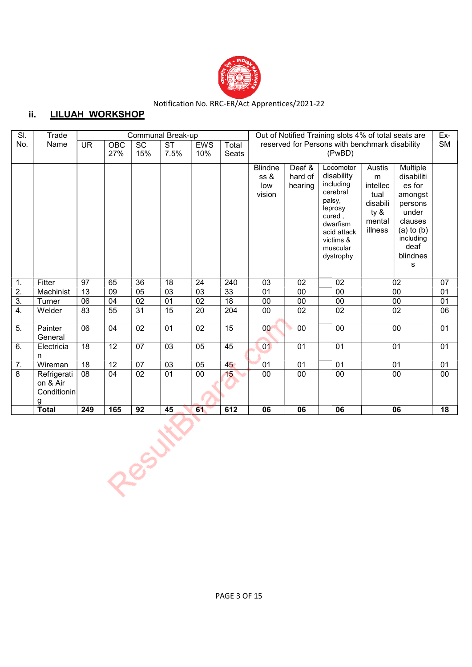

## ii. LILUAH WORKSHOP

| SI.              | Trade                                       |                          |                 |                 | Communal Break-up              |                   |                 | Out of Notified Training slots 4% of total seats are<br>Ex-<br><b>SM</b> |                                                          |                                                                                                                                                  |                                                                          |                                                                                                                                                     |                 |  |  |
|------------------|---------------------------------------------|--------------------------|-----------------|-----------------|--------------------------------|-------------------|-----------------|--------------------------------------------------------------------------|----------------------------------------------------------|--------------------------------------------------------------------------------------------------------------------------------------------------|--------------------------------------------------------------------------|-----------------------------------------------------------------------------------------------------------------------------------------------------|-----------------|--|--|
| No.              | Name                                        | $\overline{\mathsf{UR}}$ | OBC<br>27%      | SC<br>15%       | $\overline{\text{ST}}$<br>7.5% | <b>EWS</b><br>10% | Total<br>Seats  |                                                                          | reserved for Persons with benchmark disability<br>(PwBD) |                                                                                                                                                  |                                                                          |                                                                                                                                                     |                 |  |  |
|                  |                                             |                          |                 |                 |                                |                   |                 | <b>Blindne</b><br>ss &<br>low<br>vision                                  | Deaf &<br>hard of<br>hearing                             | Locomotor<br>disability<br>including<br>cerebral<br>palsy,<br>leprosy<br>cured,<br>dwarfism<br>acid attack<br>victims &<br>muscular<br>dystrophy | Austis<br>m<br>intellec<br>tual<br>disabili<br>ty &<br>mental<br>illness | <b>Multiple</b><br>disabiliti<br>es for<br>amongst<br>persons<br>under<br>clauses<br>$(a)$ to $(b)$<br>including<br>deaf<br>blindnes<br>$\mathbf s$ |                 |  |  |
| $\mathbf{1}$ .   | Fitter                                      | 97                       | 65              | 36              | 18                             | 24                | 240             | 03                                                                       | 02                                                       | 02                                                                                                                                               |                                                                          | 02                                                                                                                                                  | 07              |  |  |
| $\overline{2}$ . | Machinist                                   | 13                       | 09              | 05              | 03                             | 03                | 33              | 01                                                                       | 00                                                       | 00                                                                                                                                               |                                                                          | 00                                                                                                                                                  | 01              |  |  |
| $\overline{3}$ . | Turner                                      | 06                       | 04              | 02              | 01                             | 02                | 18              | 00                                                                       | 00                                                       | 00                                                                                                                                               |                                                                          | 00                                                                                                                                                  | 01              |  |  |
| $\overline{4}$ . | Welder                                      | 83                       | $\overline{55}$ | $\overline{31}$ | $\overline{15}$                | $\overline{20}$   | 204             | $\overline{00}$                                                          | $\overline{02}$                                          | $\overline{02}$                                                                                                                                  |                                                                          | $\overline{02}$                                                                                                                                     | 06              |  |  |
| $\overline{5}$ . | Painter<br>General                          | $\overline{06}$          | 04              | 02              | $\overline{01}$                | $\overline{02}$   | $\overline{15}$ | $\overline{00}$                                                          | $\overline{00}$                                          | 00                                                                                                                                               |                                                                          | 00                                                                                                                                                  | $\overline{01}$ |  |  |
| 6.               | Electricia<br>n                             | $\overline{18}$          | $\overline{12}$ | 07              | $\overline{03}$                | $\overline{05}$   | 45              | 01                                                                       | $\overline{01}$                                          | 01                                                                                                                                               |                                                                          | $\overline{01}$                                                                                                                                     | $\overline{01}$ |  |  |
| $\overline{7}$ . | Wireman                                     | $\overline{18}$          | 12              | 07              | 03                             | 05                | 45              | 01                                                                       | 01                                                       | $\overline{01}$                                                                                                                                  |                                                                          | 01                                                                                                                                                  | 01              |  |  |
| 8                | Refrigerati<br>on & Air<br>Conditionin<br>q | 08                       | 04              | 02              | $\overline{01}$                | 00                | 15              | 00                                                                       | $\overline{00}$                                          | 00                                                                                                                                               |                                                                          | $\overline{00}$                                                                                                                                     | 00              |  |  |
|                  | <b>Total</b><br>249<br>165<br>92            |                          | 45              | 612<br>61       |                                |                   | 06              | 06                                                                       |                                                          | 06                                                                                                                                               | 18                                                                       |                                                                                                                                                     |                 |  |  |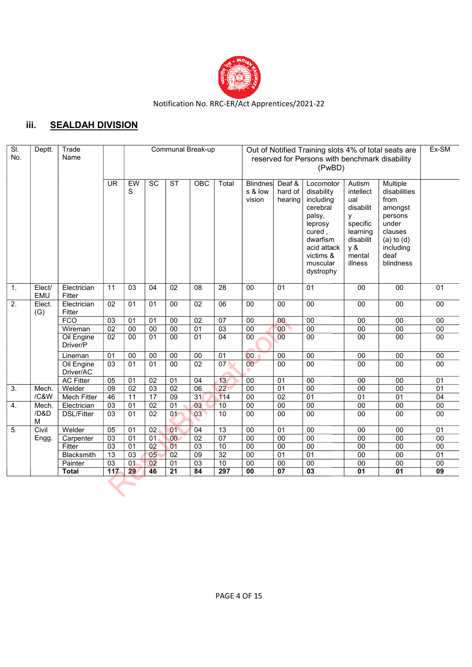

# iii. SEALDAH DIVISION

| EW<br>$\overline{\text{ST}}$<br><b>UR</b><br>SC<br>OBC<br>Total<br>Deaf &<br>Multiple<br><b>Blindnes</b><br>Autism<br>Locomotor<br>S<br>s & low<br>hard of<br>intellect<br>disabilities<br>disability<br>from<br>vision<br>hearing<br>including<br>ual<br>cerebral<br>disabilit<br>amongst<br>palsy,<br>persons<br>у<br>specific<br>under<br>leprosy<br>cured,<br>learning<br>clauses<br>dwarfism<br>disabilit<br>$(a)$ to $(d)$<br>acid attack<br>y &<br>including<br>victims &<br>deaf<br>mental<br>muscular<br>illness<br>blindness<br>dystrophy<br>Electrician<br>02<br>08<br>28<br>00<br>01<br>$\overline{00}$<br>$\overline{00}$<br>01<br>1.<br>Elect/<br>11<br>03<br>04<br>01<br>EMU<br>Fitter<br>$\overline{2}$ .<br>06<br>$\overline{00}$<br>Electrician<br>$\overline{02}$<br>$\overline{01}$<br>$\overline{00}$<br>$\overline{02}$<br>$\overline{00}$<br>$\overline{00}$<br>$\overline{00}$<br>$\overline{00}$<br>Elect.<br>01<br>$00\,$<br>Fitter<br>(G)<br><b>FCO</b><br>$\overline{00}$<br>$\overline{03}$<br>$\overline{01}$<br>$\overline{02}$<br>07<br>00<br>$\overline{00}$<br>$\overline{00}$<br>01<br>$00\,$<br>00<br>00<br>03<br>00<br>00<br>02<br>00<br>00<br>01<br>$\overline{00}$<br>00<br>$\overline{00}$<br>$\overline{00}$<br>$\overline{00}$<br>Wireman<br>Oil Engine<br>02<br>01<br>04<br>00<br>0 <sup>0</sup><br>00<br>00<br>00<br>00<br>01<br>$00\,$<br>00<br>Driver/P<br>00<br>01<br>00<br>00<br>$\overline{00}$<br>$\overline{00}$<br>$\overline{00}$<br>$\overline{00}$<br>00<br>$\overline{00}$<br>00<br>Lineman<br>01<br>07<br>$\overline{02}$<br>00<br>$\overline{00}$<br>Oil Engine<br>03<br>01<br>00<br>$\overline{00}$<br>$\overline{00}$<br>00<br>$\overline{01}$<br>00<br>Driver/AC<br><b>AC Fitter</b><br>02<br>13<br>00<br>$\overline{01}$<br>05<br>01<br>01<br>04<br>00<br>$\overline{00}$<br>00<br>01<br>22<br>$\overline{00}$<br>Welder<br>09<br>03<br>02<br>06<br>00<br>3.<br>$\overline{02}$<br>01<br>00<br>00<br>01<br>Mech.<br>17<br>31<br>114<br>46<br>$\overline{09}$<br>$\overline{00}$<br>$\overline{02}$<br>$\overline{01}$<br>$\overline{01}$<br>$\overline{01}$<br>$\overline{04}$<br>/C&W<br><b>Mech Fitter</b><br>11<br>02<br>01<br>03<br>00<br>$\overline{03}$<br>$\overline{01}$<br>10<br>$\overline{00}$<br>$\overline{00}$<br>$\overline{00}$<br>$\overline{00}$<br>Electrician<br>$00\,$<br>4.<br>Mech.<br>10<br>/D&D<br>03<br>$\overline{02}$<br>03<br>00<br>00<br>00<br>$\overline{00}$<br>00<br><b>DSL/Fitter</b><br>01<br>01<br>00<br>M<br>5.<br>Civil<br>$\overline{13}$<br>$\overline{01}$<br>Welder<br>05<br>01<br>02 <sub>1</sub><br>01<br>04<br>$00\,$<br>01<br>00<br>$00\,$<br>$00\,$<br>07<br>02<br>00<br>$\overline{03}$<br>$\overline{01}$<br>00<br>$\overline{00}$<br>$\overline{00}$<br>$\overline{00}$<br>$\overline{00}$<br>$\overline{00}$<br>01<br>Engg.<br>Carpenter<br>10<br>00<br>03<br>0 <sup>2</sup><br>01<br>03<br>00<br>00<br>$\overline{00}$<br>Fitter<br>$\overline{01}$<br>00<br>00<br>32<br>09<br>00<br>13<br>05<br>02<br>$\overline{00}$<br>$\overline{01}$<br>01<br>01<br>Blacksmith<br>03<br>00<br>02<br>$\overline{03}$<br>$\overline{10}$<br>$\overline{00}$<br>$\overline{00}$<br>03<br>01<br>00<br>00<br>$00\,$<br>$00\,$<br>Painter<br>01<br>117<br>297<br>29<br>46<br>21<br>84<br>03<br>01<br>00<br>07<br>01<br>09<br><b>Total</b> | SI.<br>No. | Deptt.<br>Trade<br>Name |  |  | Communal Break-up<br>Out of Notified Training slots 4% of total seats are<br>reserved for Persons with benchmark disability<br>(PwBD) |  |  |  |  |  |  |  |  |  |
|--------------------------------------------------------------------------------------------------------------------------------------------------------------------------------------------------------------------------------------------------------------------------------------------------------------------------------------------------------------------------------------------------------------------------------------------------------------------------------------------------------------------------------------------------------------------------------------------------------------------------------------------------------------------------------------------------------------------------------------------------------------------------------------------------------------------------------------------------------------------------------------------------------------------------------------------------------------------------------------------------------------------------------------------------------------------------------------------------------------------------------------------------------------------------------------------------------------------------------------------------------------------------------------------------------------------------------------------------------------------------------------------------------------------------------------------------------------------------------------------------------------------------------------------------------------------------------------------------------------------------------------------------------------------------------------------------------------------------------------------------------------------------------------------------------------------------------------------------------------------------------------------------------------------------------------------------------------------------------------------------------------------------------------------------------------------------------------------------------------------------------------------------------------------------------------------------------------------------------------------------------------------------------------------------------------------------------------------------------------------------------------------------------------------------------------------------------------------------------------------------------------------------------------------------------------------------------------------------------------------------------------------------------------------------------------------------------------------------------------------------------------------------------------------------------------------------------------------------------------------------------------------------------------------------------------------------------------------------------------------------------------------------------------------------------------------------------------------------------------------------------------------------------------------------------------------------------------------------------------------------------------------------------------------------------------------------------------------|------------|-------------------------|--|--|---------------------------------------------------------------------------------------------------------------------------------------|--|--|--|--|--|--|--|--|--|
|                                                                                                                                                                                                                                                                                                                                                                                                                                                                                                                                                                                                                                                                                                                                                                                                                                                                                                                                                                                                                                                                                                                                                                                                                                                                                                                                                                                                                                                                                                                                                                                                                                                                                                                                                                                                                                                                                                                                                                                                                                                                                                                                                                                                                                                                                                                                                                                                                                                                                                                                                                                                                                                                                                                                                                                                                                                                                                                                                                                                                                                                                                                                                                                                                                                                                                                                            |            |                         |  |  |                                                                                                                                       |  |  |  |  |  |  |  |  |  |
|                                                                                                                                                                                                                                                                                                                                                                                                                                                                                                                                                                                                                                                                                                                                                                                                                                                                                                                                                                                                                                                                                                                                                                                                                                                                                                                                                                                                                                                                                                                                                                                                                                                                                                                                                                                                                                                                                                                                                                                                                                                                                                                                                                                                                                                                                                                                                                                                                                                                                                                                                                                                                                                                                                                                                                                                                                                                                                                                                                                                                                                                                                                                                                                                                                                                                                                                            |            |                         |  |  |                                                                                                                                       |  |  |  |  |  |  |  |  |  |
|                                                                                                                                                                                                                                                                                                                                                                                                                                                                                                                                                                                                                                                                                                                                                                                                                                                                                                                                                                                                                                                                                                                                                                                                                                                                                                                                                                                                                                                                                                                                                                                                                                                                                                                                                                                                                                                                                                                                                                                                                                                                                                                                                                                                                                                                                                                                                                                                                                                                                                                                                                                                                                                                                                                                                                                                                                                                                                                                                                                                                                                                                                                                                                                                                                                                                                                                            |            |                         |  |  |                                                                                                                                       |  |  |  |  |  |  |  |  |  |
|                                                                                                                                                                                                                                                                                                                                                                                                                                                                                                                                                                                                                                                                                                                                                                                                                                                                                                                                                                                                                                                                                                                                                                                                                                                                                                                                                                                                                                                                                                                                                                                                                                                                                                                                                                                                                                                                                                                                                                                                                                                                                                                                                                                                                                                                                                                                                                                                                                                                                                                                                                                                                                                                                                                                                                                                                                                                                                                                                                                                                                                                                                                                                                                                                                                                                                                                            |            |                         |  |  |                                                                                                                                       |  |  |  |  |  |  |  |  |  |
|                                                                                                                                                                                                                                                                                                                                                                                                                                                                                                                                                                                                                                                                                                                                                                                                                                                                                                                                                                                                                                                                                                                                                                                                                                                                                                                                                                                                                                                                                                                                                                                                                                                                                                                                                                                                                                                                                                                                                                                                                                                                                                                                                                                                                                                                                                                                                                                                                                                                                                                                                                                                                                                                                                                                                                                                                                                                                                                                                                                                                                                                                                                                                                                                                                                                                                                                            |            |                         |  |  |                                                                                                                                       |  |  |  |  |  |  |  |  |  |
|                                                                                                                                                                                                                                                                                                                                                                                                                                                                                                                                                                                                                                                                                                                                                                                                                                                                                                                                                                                                                                                                                                                                                                                                                                                                                                                                                                                                                                                                                                                                                                                                                                                                                                                                                                                                                                                                                                                                                                                                                                                                                                                                                                                                                                                                                                                                                                                                                                                                                                                                                                                                                                                                                                                                                                                                                                                                                                                                                                                                                                                                                                                                                                                                                                                                                                                                            |            |                         |  |  |                                                                                                                                       |  |  |  |  |  |  |  |  |  |
|                                                                                                                                                                                                                                                                                                                                                                                                                                                                                                                                                                                                                                                                                                                                                                                                                                                                                                                                                                                                                                                                                                                                                                                                                                                                                                                                                                                                                                                                                                                                                                                                                                                                                                                                                                                                                                                                                                                                                                                                                                                                                                                                                                                                                                                                                                                                                                                                                                                                                                                                                                                                                                                                                                                                                                                                                                                                                                                                                                                                                                                                                                                                                                                                                                                                                                                                            |            |                         |  |  |                                                                                                                                       |  |  |  |  |  |  |  |  |  |
|                                                                                                                                                                                                                                                                                                                                                                                                                                                                                                                                                                                                                                                                                                                                                                                                                                                                                                                                                                                                                                                                                                                                                                                                                                                                                                                                                                                                                                                                                                                                                                                                                                                                                                                                                                                                                                                                                                                                                                                                                                                                                                                                                                                                                                                                                                                                                                                                                                                                                                                                                                                                                                                                                                                                                                                                                                                                                                                                                                                                                                                                                                                                                                                                                                                                                                                                            |            |                         |  |  |                                                                                                                                       |  |  |  |  |  |  |  |  |  |
|                                                                                                                                                                                                                                                                                                                                                                                                                                                                                                                                                                                                                                                                                                                                                                                                                                                                                                                                                                                                                                                                                                                                                                                                                                                                                                                                                                                                                                                                                                                                                                                                                                                                                                                                                                                                                                                                                                                                                                                                                                                                                                                                                                                                                                                                                                                                                                                                                                                                                                                                                                                                                                                                                                                                                                                                                                                                                                                                                                                                                                                                                                                                                                                                                                                                                                                                            |            |                         |  |  |                                                                                                                                       |  |  |  |  |  |  |  |  |  |
|                                                                                                                                                                                                                                                                                                                                                                                                                                                                                                                                                                                                                                                                                                                                                                                                                                                                                                                                                                                                                                                                                                                                                                                                                                                                                                                                                                                                                                                                                                                                                                                                                                                                                                                                                                                                                                                                                                                                                                                                                                                                                                                                                                                                                                                                                                                                                                                                                                                                                                                                                                                                                                                                                                                                                                                                                                                                                                                                                                                                                                                                                                                                                                                                                                                                                                                                            |            |                         |  |  |                                                                                                                                       |  |  |  |  |  |  |  |  |  |
|                                                                                                                                                                                                                                                                                                                                                                                                                                                                                                                                                                                                                                                                                                                                                                                                                                                                                                                                                                                                                                                                                                                                                                                                                                                                                                                                                                                                                                                                                                                                                                                                                                                                                                                                                                                                                                                                                                                                                                                                                                                                                                                                                                                                                                                                                                                                                                                                                                                                                                                                                                                                                                                                                                                                                                                                                                                                                                                                                                                                                                                                                                                                                                                                                                                                                                                                            |            |                         |  |  |                                                                                                                                       |  |  |  |  |  |  |  |  |  |
|                                                                                                                                                                                                                                                                                                                                                                                                                                                                                                                                                                                                                                                                                                                                                                                                                                                                                                                                                                                                                                                                                                                                                                                                                                                                                                                                                                                                                                                                                                                                                                                                                                                                                                                                                                                                                                                                                                                                                                                                                                                                                                                                                                                                                                                                                                                                                                                                                                                                                                                                                                                                                                                                                                                                                                                                                                                                                                                                                                                                                                                                                                                                                                                                                                                                                                                                            |            |                         |  |  |                                                                                                                                       |  |  |  |  |  |  |  |  |  |
|                                                                                                                                                                                                                                                                                                                                                                                                                                                                                                                                                                                                                                                                                                                                                                                                                                                                                                                                                                                                                                                                                                                                                                                                                                                                                                                                                                                                                                                                                                                                                                                                                                                                                                                                                                                                                                                                                                                                                                                                                                                                                                                                                                                                                                                                                                                                                                                                                                                                                                                                                                                                                                                                                                                                                                                                                                                                                                                                                                                                                                                                                                                                                                                                                                                                                                                                            |            |                         |  |  |                                                                                                                                       |  |  |  |  |  |  |  |  |  |
|                                                                                                                                                                                                                                                                                                                                                                                                                                                                                                                                                                                                                                                                                                                                                                                                                                                                                                                                                                                                                                                                                                                                                                                                                                                                                                                                                                                                                                                                                                                                                                                                                                                                                                                                                                                                                                                                                                                                                                                                                                                                                                                                                                                                                                                                                                                                                                                                                                                                                                                                                                                                                                                                                                                                                                                                                                                                                                                                                                                                                                                                                                                                                                                                                                                                                                                                            |            |                         |  |  |                                                                                                                                       |  |  |  |  |  |  |  |  |  |
|                                                                                                                                                                                                                                                                                                                                                                                                                                                                                                                                                                                                                                                                                                                                                                                                                                                                                                                                                                                                                                                                                                                                                                                                                                                                                                                                                                                                                                                                                                                                                                                                                                                                                                                                                                                                                                                                                                                                                                                                                                                                                                                                                                                                                                                                                                                                                                                                                                                                                                                                                                                                                                                                                                                                                                                                                                                                                                                                                                                                                                                                                                                                                                                                                                                                                                                                            |            |                         |  |  |                                                                                                                                       |  |  |  |  |  |  |  |  |  |
|                                                                                                                                                                                                                                                                                                                                                                                                                                                                                                                                                                                                                                                                                                                                                                                                                                                                                                                                                                                                                                                                                                                                                                                                                                                                                                                                                                                                                                                                                                                                                                                                                                                                                                                                                                                                                                                                                                                                                                                                                                                                                                                                                                                                                                                                                                                                                                                                                                                                                                                                                                                                                                                                                                                                                                                                                                                                                                                                                                                                                                                                                                                                                                                                                                                                                                                                            |            |                         |  |  |                                                                                                                                       |  |  |  |  |  |  |  |  |  |
|                                                                                                                                                                                                                                                                                                                                                                                                                                                                                                                                                                                                                                                                                                                                                                                                                                                                                                                                                                                                                                                                                                                                                                                                                                                                                                                                                                                                                                                                                                                                                                                                                                                                                                                                                                                                                                                                                                                                                                                                                                                                                                                                                                                                                                                                                                                                                                                                                                                                                                                                                                                                                                                                                                                                                                                                                                                                                                                                                                                                                                                                                                                                                                                                                                                                                                                                            |            |                         |  |  |                                                                                                                                       |  |  |  |  |  |  |  |  |  |
|                                                                                                                                                                                                                                                                                                                                                                                                                                                                                                                                                                                                                                                                                                                                                                                                                                                                                                                                                                                                                                                                                                                                                                                                                                                                                                                                                                                                                                                                                                                                                                                                                                                                                                                                                                                                                                                                                                                                                                                                                                                                                                                                                                                                                                                                                                                                                                                                                                                                                                                                                                                                                                                                                                                                                                                                                                                                                                                                                                                                                                                                                                                                                                                                                                                                                                                                            |            |                         |  |  |                                                                                                                                       |  |  |  |  |  |  |  |  |  |
|                                                                                                                                                                                                                                                                                                                                                                                                                                                                                                                                                                                                                                                                                                                                                                                                                                                                                                                                                                                                                                                                                                                                                                                                                                                                                                                                                                                                                                                                                                                                                                                                                                                                                                                                                                                                                                                                                                                                                                                                                                                                                                                                                                                                                                                                                                                                                                                                                                                                                                                                                                                                                                                                                                                                                                                                                                                                                                                                                                                                                                                                                                                                                                                                                                                                                                                                            |            |                         |  |  |                                                                                                                                       |  |  |  |  |  |  |  |  |  |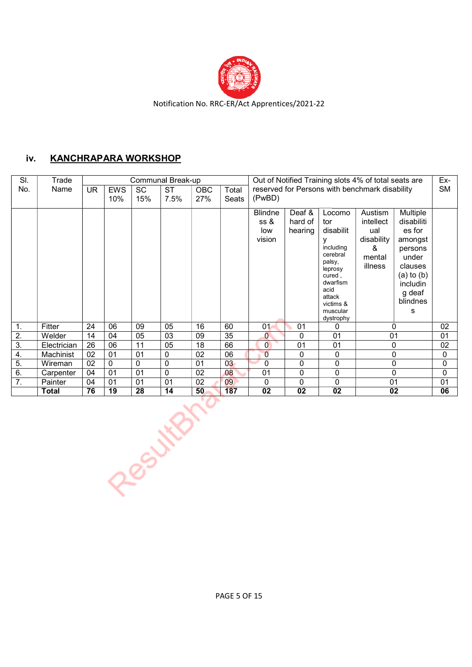

### iv. KANCHRAPARA WORKSHOP

| SI.              | Trade        | Communal Break-up |                   |                  |                   |                   |                |                                  |                              |                                                                                                                                                        | Out of Notified Training slots 4% of total seats are                |                                                                                                                                     | Ex-       |
|------------------|--------------|-------------------|-------------------|------------------|-------------------|-------------------|----------------|----------------------------------|------------------------------|--------------------------------------------------------------------------------------------------------------------------------------------------------|---------------------------------------------------------------------|-------------------------------------------------------------------------------------------------------------------------------------|-----------|
| No.              | Name         | <b>UR</b>         | <b>EWS</b><br>10% | <b>SC</b><br>15% | <b>ST</b><br>7.5% | <b>OBC</b><br>27% | Total<br>Seats | (PwBD)                           |                              |                                                                                                                                                        | reserved for Persons with benchmark disability                      |                                                                                                                                     | <b>SM</b> |
|                  |              |                   |                   |                  |                   |                   |                | Blindne<br>ss &<br>low<br>vision | Deaf &<br>hard of<br>hearing | Locomo<br>tor<br>disabilit<br>including<br>cerebral<br>palsy,<br>leprosy<br>cured,<br>dwarfism<br>acid<br>attack<br>victims &<br>muscular<br>dystrophy | Austism<br>intellect<br>ual<br>disability<br>&<br>mental<br>illness | Multiple<br>disabiliti<br>es for<br>amongst<br>persons<br>under<br>clauses<br>$(a)$ to $(b)$<br>includin<br>g deaf<br>blindnes<br>s |           |
| 1.               | Fitter       | 24                | 06                | 09               | 05                | 16                | 60             | 01                               | 01                           | 0                                                                                                                                                      | $\Omega$                                                            |                                                                                                                                     | 02        |
| 2.               | Welder       | 14                | 04                | 05               | 03                | 09                | 35             | $\overline{0}$                   | 0                            | 01                                                                                                                                                     | 01                                                                  |                                                                                                                                     | 01        |
| $\overline{3}$ . | Electrician  | 26                | 06                | 11               | 05                | 18                | 66             | $\overline{0}$                   | 01                           | 01                                                                                                                                                     | 0                                                                   |                                                                                                                                     | 02        |
| 4.               | Machinist    | 02                | 01                | 01               | 0                 | 02                | 06             | $\overline{0}$                   | 0                            | 0                                                                                                                                                      | $\Omega$                                                            |                                                                                                                                     | 0         |
| 5.               | Wireman      | 02                | 0                 | 0                | 0                 | 01                | 03             | $\mathbf 0$                      | $\Omega$                     | 0                                                                                                                                                      | $\mathbf{0}$                                                        |                                                                                                                                     | 0         |
| 6.               | Carpenter    | 04                | 01                | 01               | 0                 | 02                | 08             | 01                               | 0                            | 0                                                                                                                                                      |                                                                     | 0                                                                                                                                   | $\Omega$  |
| 7.               | Painter      | 04                | 01                | 01               | 01                | 02                | 09             | 0                                | 0                            | 0                                                                                                                                                      | 01                                                                  |                                                                                                                                     | 01        |
|                  | <b>Total</b> | 76                | 19                | 28               | 14                | 50                | 187            | $\overline{02}$                  | $\overline{02}$              | $\overline{02}$                                                                                                                                        | $\overline{02}$                                                     |                                                                                                                                     | 06        |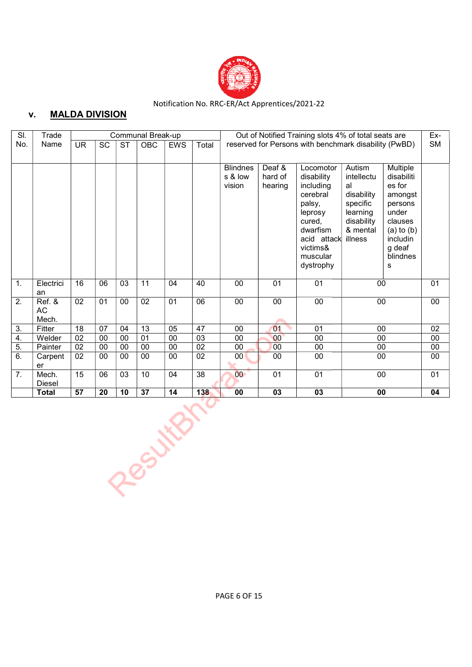

### v. MALDA DIVISION

| SI.              | Trade                  |                 |    |    | Communal Break-up |     |                 | Out of Notified Training slots 4% of total seats are |                                                       |                                                                                                                                                 |                                                                                                       |                                                                                                                                     |    |  |  |  |
|------------------|------------------------|-----------------|----|----|-------------------|-----|-----------------|------------------------------------------------------|-------------------------------------------------------|-------------------------------------------------------------------------------------------------------------------------------------------------|-------------------------------------------------------------------------------------------------------|-------------------------------------------------------------------------------------------------------------------------------------|----|--|--|--|
| No.              | Name<br><b>UR</b>      |                 | SC | ST | OBC               | EWS | Total           |                                                      | reserved for Persons with benchmark disability (PwBD) |                                                                                                                                                 |                                                                                                       |                                                                                                                                     |    |  |  |  |
|                  |                        |                 |    |    |                   |     |                 | <b>Blindnes</b><br>s & low<br>vision                 | Deaf &<br>hard of<br>hearing                          | Locomotor<br>disability<br>including<br>cerebral<br>palsy,<br>leprosy<br>cured.<br>dwarfism<br>acid attack<br>victims&<br>muscular<br>dystrophy | Autism<br>intellectu<br>al<br>disability<br>specific<br>learning<br>disability<br>& mental<br>illness | Multiple<br>disabiliti<br>es for<br>amongst<br>persons<br>under<br>clauses<br>$(a)$ to $(b)$<br>includin<br>g deaf<br>blindnes<br>s |    |  |  |  |
| $\mathbf{1}$ .   | Electrici<br>an        | 16              | 06 | 03 | 11                | 04  | 40              | 00                                                   | 01                                                    | 01                                                                                                                                              | 00                                                                                                    |                                                                                                                                     | 01 |  |  |  |
| 2.               | Ref. &<br>AC<br>Mech.  | 02              | 01 | 00 | 02                | 01  | 06              | 00                                                   | 00                                                    | 00                                                                                                                                              | 00                                                                                                    |                                                                                                                                     | 00 |  |  |  |
| 3.               | Fitter                 | 18              | 07 | 04 | 13                | 05  | 47              | 00                                                   | 01                                                    | 01                                                                                                                                              | 00                                                                                                    |                                                                                                                                     | 02 |  |  |  |
| 4.               | Welder                 | 02              | 00 | 00 | 01                | 00  | 03              | 00                                                   | 00                                                    | 00                                                                                                                                              | 00                                                                                                    |                                                                                                                                     | 00 |  |  |  |
| 5.               | Painter                | 02              | 00 | 00 | 00                | 00  | 02              | $00\,$                                               | 00                                                    | 00                                                                                                                                              | 00                                                                                                    |                                                                                                                                     | 00 |  |  |  |
| 6.               | Carpent<br>er          | 02              | 00 | 00 | $\overline{00}$   | 00  | $\overline{02}$ | 00 <sub>0</sub>                                      | 00                                                    | 00                                                                                                                                              | $\overline{00}$                                                                                       |                                                                                                                                     | 00 |  |  |  |
| $\overline{7}$ . | Mech.<br><b>Diesel</b> | 15              | 06 | 03 | 10                | 04  | $\overline{38}$ | 00                                                   | 01                                                    | 01                                                                                                                                              | 00                                                                                                    |                                                                                                                                     | 01 |  |  |  |
|                  | <b>Total</b>           | $\overline{57}$ | 20 | 10 | 37                | 14  | 138             | 00                                                   | 03                                                    | 03                                                                                                                                              | 00                                                                                                    |                                                                                                                                     | 04 |  |  |  |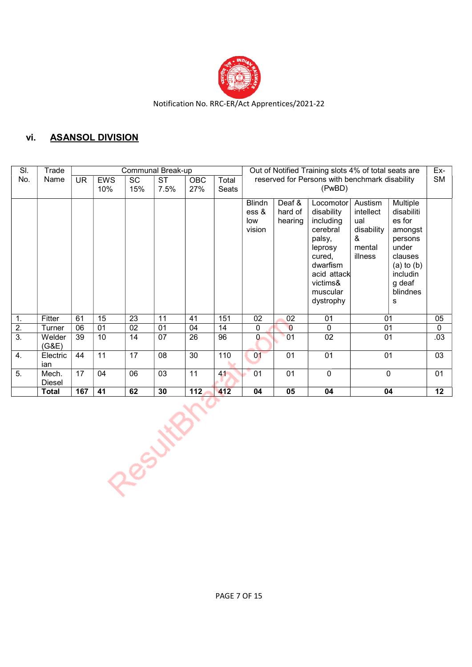

## vi. ASANSOL DIVISION

| SI.            | Trade                  |           |            |           | Communal Break-up |            |       |                                                    | Out of Notified Training slots 4% of total seats are |                                                                                                                                                 |                                                                     |                                                                                                                                     |           |  |  |
|----------------|------------------------|-----------|------------|-----------|-------------------|------------|-------|----------------------------------------------------|------------------------------------------------------|-------------------------------------------------------------------------------------------------------------------------------------------------|---------------------------------------------------------------------|-------------------------------------------------------------------------------------------------------------------------------------|-----------|--|--|
| No.            | Name                   | <b>UR</b> | <b>EWS</b> | <b>SC</b> | <b>ST</b>         | <b>OBC</b> | Total |                                                    |                                                      | reserved for Persons with benchmark disability                                                                                                  |                                                                     |                                                                                                                                     | <b>SM</b> |  |  |
|                |                        |           | 10%        | 15%       | 7.5%              | 27%        | Seats |                                                    |                                                      | (PwBD)                                                                                                                                          |                                                                     |                                                                                                                                     |           |  |  |
|                |                        |           |            |           |                   |            |       | <b>Blindn</b><br>ess <sub>8</sub><br>low<br>vision | Deaf &<br>hard of<br>hearing                         | Locomotor<br>disability<br>including<br>cerebral<br>palsy,<br>leprosy<br>cured,<br>dwarfism<br>acid attack<br>victims&<br>muscular<br>dystrophy | Austism<br>intellect<br>ual<br>disability<br>&<br>mental<br>illness | Multiple<br>disabiliti<br>es for<br>amongst<br>persons<br>under<br>clauses<br>$(a)$ to $(b)$<br>includin<br>g deaf<br>blindnes<br>s |           |  |  |
| $\mathbf{1}$ . | Fitter                 | 61        | 15         | 23        | 11                | 41         | 151   | 02                                                 | 02                                                   | 01                                                                                                                                              | 01                                                                  |                                                                                                                                     | 05        |  |  |
| 2.             | Turner                 | 06        | 01         | 02        | 01                | 04         | 14    | $\Omega$                                           | $\overline{0}$                                       | 0                                                                                                                                               | 01                                                                  |                                                                                                                                     | 0         |  |  |
| 3.             | Welder<br>(G&E)        | 39        | 10         | 14        | 07                | 26         | 96    | 0                                                  | 01                                                   | 02                                                                                                                                              | 01                                                                  |                                                                                                                                     | .03       |  |  |
| 4.             | Electric<br>ian        | 44        | 11         | 17        | 08                | 30         | 110   | 01                                                 | 01                                                   | 01                                                                                                                                              | 01                                                                  |                                                                                                                                     | 03        |  |  |
| 5.             | Mech.<br><b>Diesel</b> | 17        | 04         | 06        | 03                | 11         | 41    | 01                                                 | 01                                                   | 0                                                                                                                                               | 0                                                                   |                                                                                                                                     | 01        |  |  |
|                | Total                  | 167       | 41         | 62        | 30                | 112        | 412   | 04                                                 | 05                                                   | 04                                                                                                                                              | 04                                                                  |                                                                                                                                     | 12        |  |  |